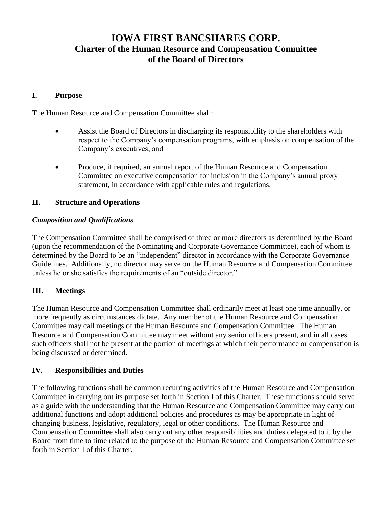# **IOWA FIRST BANCSHARES CORP. Charter of the Human Resource and Compensation Committee of the Board of Directors**

# **I. Purpose**

The Human Resource and Compensation Committee shall:

- Assist the Board of Directors in discharging its responsibility to the shareholders with respect to the Company's compensation programs, with emphasis on compensation of the Company's executives; and
- Produce, if required, an annual report of the Human Resource and Compensation Committee on executive compensation for inclusion in the Company's annual proxy statement, in accordance with applicable rules and regulations.

#### **II. Structure and Operations**

#### *Composition and Qualifications*

The Compensation Committee shall be comprised of three or more directors as determined by the Board (upon the recommendation of the Nominating and Corporate Governance Committee), each of whom is determined by the Board to be an "independent" director in accordance with the Corporate Governance Guidelines. Additionally, no director may serve on the Human Resource and Compensation Committee unless he or she satisfies the requirements of an "outside director."

## **III. Meetings**

The Human Resource and Compensation Committee shall ordinarily meet at least one time annually, or more frequently as circumstances dictate. Any member of the Human Resource and Compensation Committee may call meetings of the Human Resource and Compensation Committee. The Human Resource and Compensation Committee may meet without any senior officers present, and in all cases such officers shall not be present at the portion of meetings at which their performance or compensation is being discussed or determined.

## **IV. Responsibilities and Duties**

The following functions shall be common recurring activities of the Human Resource and Compensation Committee in carrying out its purpose set forth in Section I of this Charter. These functions should serve as a guide with the understanding that the Human Resource and Compensation Committee may carry out additional functions and adopt additional policies and procedures as may be appropriate in light of changing business, legislative, regulatory, legal or other conditions. The Human Resource and Compensation Committee shall also carry out any other responsibilities and duties delegated to it by the Board from time to time related to the purpose of the Human Resource and Compensation Committee set forth in Section I of this Charter.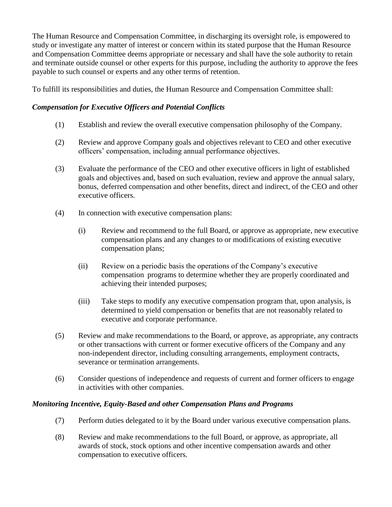The Human Resource and Compensation Committee, in discharging its oversight role, is empowered to study or investigate any matter of interest or concern within its stated purpose that the Human Resource and Compensation Committee deems appropriate or necessary and shall have the sole authority to retain and terminate outside counsel or other experts for this purpose, including the authority to approve the fees payable to such counsel or experts and any other terms of retention.

To fulfill its responsibilities and duties, the Human Resource and Compensation Committee shall:

# *Compensation for Executive Officers and Potential Conflicts*

- (1) Establish and review the overall executive compensation philosophy of the Company.
- (2) Review and approve Company goals and objectives relevant to CEO and other executive officers' compensation, including annual performance objectives.
- (3) Evaluate the performance of the CEO and other executive officers in light of established goals and objectives and, based on such evaluation, review and approve the annual salary, bonus, deferred compensation and other benefits, direct and indirect, of the CEO and other executive officers.
- (4) In connection with executive compensation plans:
	- (i) Review and recommend to the full Board, or approve as appropriate, new executive compensation plans and any changes to or modifications of existing executive compensation plans;
	- (ii) Review on a periodic basis the operations of the Company's executive compensation programs to determine whether they are properly coordinated and achieving their intended purposes;
	- (iii) Take steps to modify any executive compensation program that, upon analysis, is determined to yield compensation or benefits that are not reasonably related to executive and corporate performance.
- (5) Review and make recommendations to the Board, or approve, as appropriate, any contracts or other transactions with current or former executive officers of the Company and any non-independent director, including consulting arrangements, employment contracts, severance or termination arrangements.
- (6) Consider questions of independence and requests of current and former officers to engage in activities with other companies.

## *Monitoring Incentive, Equity-Based and other Compensation Plans and Programs*

- (7) Perform duties delegated to it by the Board under various executive compensation plans.
- (8) Review and make recommendations to the full Board, or approve, as appropriate, all awards of stock, stock options and other incentive compensation awards and other compensation to executive officers.